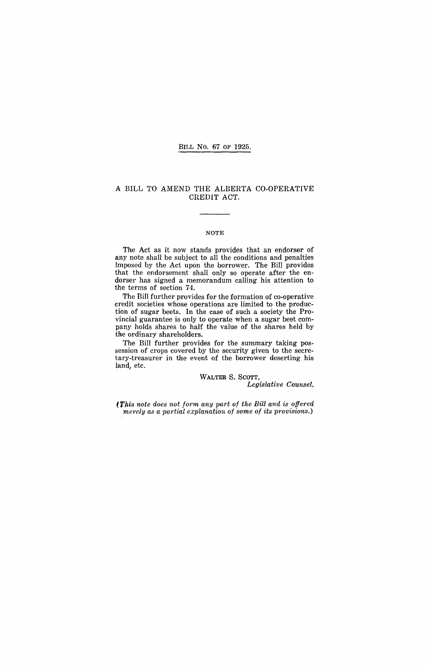#### BILL No. 67 OF 1925.

#### A BILL TO aMEND THE ALBERTA CO-OPERATIVE CREDIT ACT.

#### **NOTE**

The Act as it now stands provides that an endorser of any note shall be subject to all the conditions and penalties imposed by the Act upon the borrower. The Bill provides that the endorsement shall only so operate after the endorser has signed a memorandum calling his attention to the terms of section 74.

The Bill further provides for the formation of co-operative credit societies whose operations are limited to the production of sugar beets. In the case of such a society the Provincial guarantee is only to operate when a sugar beet company holds shares to half the value of the shares held by the ordinary shareholders.

The Bill further provides for the summary taking possession of crops covered by the security given to the secretary-treasurer in the event of the borrower deserting his land, etc.

WALTER S. SCOTT,

*Legislative Counsel.* 

(This note does not form any part of the Bill and is offered *rnerely as a partial explanation of some of its provisions.)*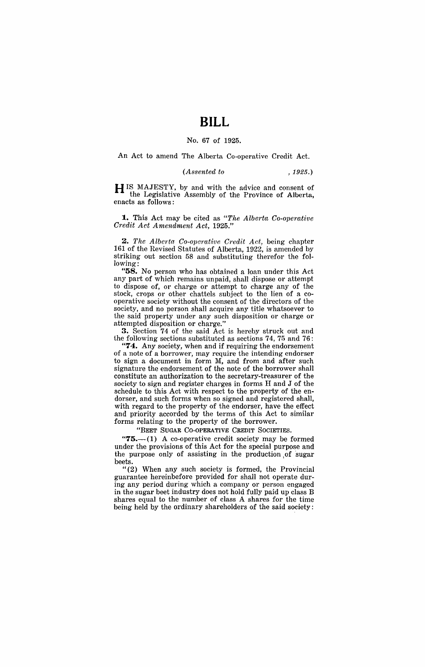# **BILL**

#### No. 67 of 1925.

An Act to amend The Alberta Co-operative Credit Act.

### *(Assented to* , 1925.)

H IS MAJESTY, by and with the advice and consent of the Legislative Assembly of the Province of Alberta, enacts as follows:

**1.** This Act may be cited as *"The Alberta Co-operative C1'edit Act Amendment Act, 1925."* 

*2. The Alberta Co-operative Credit Act,* being chapter 161 of the Revised Statutes of Alberta, 1922, is amended by striking out section 58 and substituting therefor the following:

"58. No person who has obtained a loan under this Act any part of which remains unpaid, shall dispose or attempt to dispose of, or charge or attempt to charge any of the stock, crops or other chattels subject to the lien of a cooperative society without the consent of the directors of the society, and no person shall acquire any title whatsoever to the said property under any such disposition or charge or attempted disposition or charge."

3. Section 74 of the said Act is hereby struck out and the following sections substituted as sections 74, 75 and 76:

**74.** Any society, when and if requiring the endorsement of a note of a borrower, may require the intending endorser to sign a document in form M, and from and after such signature the endorsement of the note of the borrower shall constitute an authorization to the secretary-treasurer of the society to sign and register charges in forms H and J of the schedule to this Act with respect to the property of the endorser, and such forms when so signed and registered shall, with regard to the property of the endorser, have the effect and priority accorded by the terms of this Act to similar forms relating to the property of the borrower.

"BEET SUGAR CO-OPERATIVE CREDIT SOCIETIES.

" $75$ --(1) A co-operative credit society may be formed under the provisions of this Act for the special purpose and the purpose only of assisting in the production ,of 'sugar beets.

"(2) When any such society is formed, the Provincial guarantee hereinbefore provided for shall not operate during any period during which a company or person engaged in the sugar beet industry does not hold fully paid up class B shares equal to the number of class A shares for the time being held by the ordinary shareholders of the said society: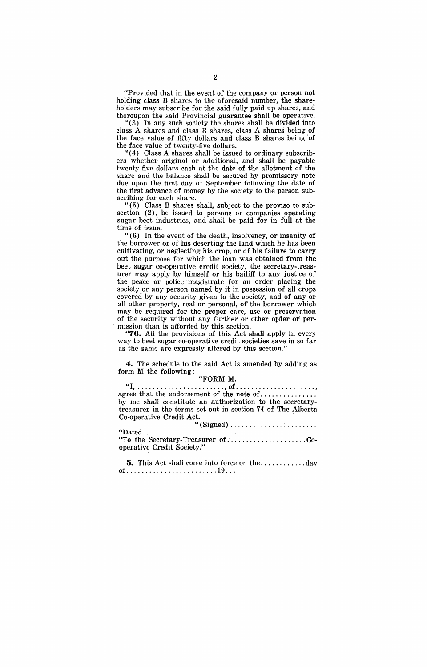"Provided that in the event of the company or person not holding class B shares to the aforesaid number, the shareholders may subscribe for the said fully paid up shares, and thereupon the said Provincial guarantee shall be operative.

" (3) In any such society the shares shall be divided into class A shares and class B shares, class A shares being of the face value of fifty dollars and class B shares being' of the face value of twenty-five dollars.

 $''(4)$  Class A shares shall be issued to ordinary subscribers whether original or additional, and shall be payable twenty-five dollars cash at the date of the allotment of the share and the balance shall be secured by promissory note due upon the first day of September following the date of the first advance of money by the society to the person subscribing for each share.

" (5) Class B shares shall, subject to the proviso to subsection (2), be issued to persons or companies operating sugar beet industries, and shall be paid for in full at the time of issue.

"(6) In the event of the death, insolvency, or insanity of the borrower or of his deserting the land which he has been cultivating, or neglecting his crop, or of his failure to carry out the purpose for which the loan was obtained from the beet sugar co-operative credit society, the secretary-treasurer may apply by himself or his bailiff to any justice of the peace or police magistrate for an order placing the society or any person named by it in possession of all crops covered by any security given to the society, and of any or all other property, real or personal, of'the borrower which may be required for the proper care, use or preservation of the security without any further or other order or per-. mission than is afforded by this section.

"76. All the provisions of this Act shall apply in every way to beet sugar co-operative credit societies save in so far as the same are expressly altered by this section."

**4.** The schedule to the said Act is amended by adding as form M the following:

### "FORM M.

"I, ....................... , of ..................... , agree that the endorsement of the note of ................ by me shall constitute an authorization to the secretarytreasurer in the terms set out in section 74 of The Alberta Co-operative Credit Act.

| Conclusive Credit Act.                                             |  |
|--------------------------------------------------------------------|--|
|                                                                    |  |
| $\text{``Dated}\dots\dots\dots\dots\dots\dots\dots\dots\dots\dots$ |  |
| "To the Secretary-Treasurer ofCo-                                  |  |
| operative Credit Society."                                         |  |

5. This Act shall come into force on the ............ day of ........................ 19 .. .